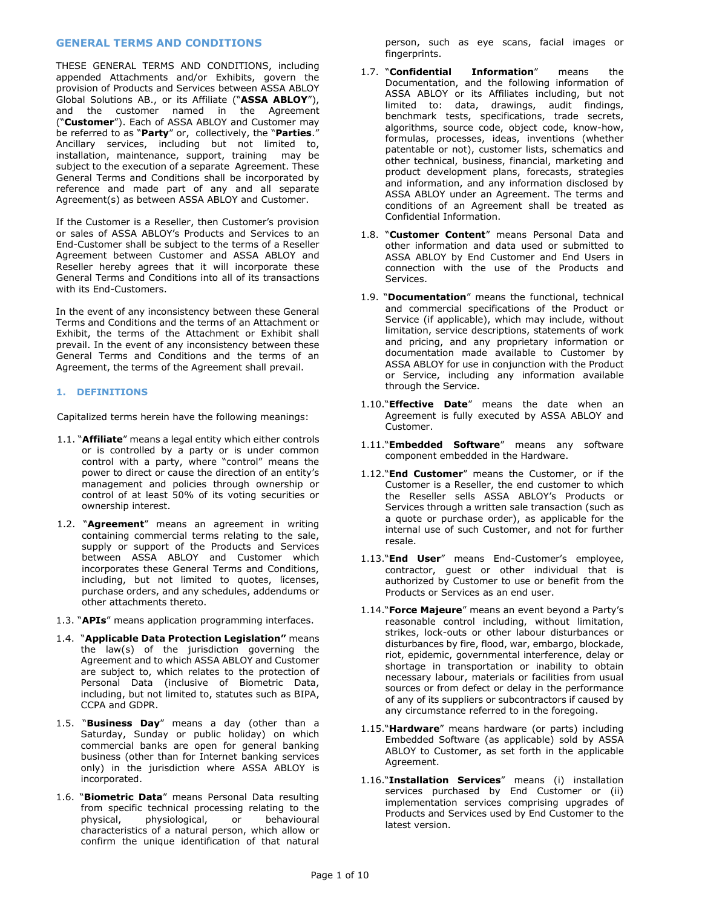# **GENERAL TERMS AND CONDITIONS**

THESE GENERAL TERMS AND CONDITIONS, including appended Attachments and/or Exhibits, govern the provision of Products and Services between ASSA ABLOY Global Solutions AB., or its Affiliate ("**ASSA ABLOY**"), and the customer named in the Agreement ("**Customer**"). Each of ASSA ABLOY and Customer may be referred to as "**Party**" or, collectively, the "**Parties**." Ancillary services, including but not limited to, installation, maintenance, support, training may be subject to the execution of a separate Agreement. These General Terms and Conditions shall be incorporated by reference and made part of any and all separate Agreement(s) as between ASSA ABLOY and Customer.

If the Customer is a Reseller, then Customer's provision or sales of ASSA ABLOY's Products and Services to an End-Customer shall be subject to the terms of a Reseller Agreement between Customer and ASSA ABLOY and Reseller hereby agrees that it will incorporate these General Terms and Conditions into all of its transactions with its End-Customers.

In the event of any inconsistency between these General Terms and Conditions and the terms of an Attachment or Exhibit, the terms of the Attachment or Exhibit shall prevail. In the event of any inconsistency between these General Terms and Conditions and the terms of an Agreement, the terms of the Agreement shall prevail.

### **1. DEFINITIONS**

Capitalized terms herein have the following meanings:

- 1.1. "**Affiliate**" means a legal entity which either controls or is controlled by a party or is under common control with a party, where "control" means the power to direct or cause the direction of an entity's management and policies through ownership or control of at least 50% of its voting securities or ownership interest.
- 1.2. "**Agreement**" means an agreement in writing containing commercial terms relating to the sale, supply or support of the Products and Services between ASSA ABLOY and Customer which incorporates these General Terms and Conditions, including, but not limited to quotes, licenses, purchase orders, and any schedules, addendums or other attachments thereto.
- 1.3. "**APIs**" means application programming interfaces.
- 1.4. "**Applicable Data Protection Legislation"** means the law(s) of the jurisdiction governing the Agreement and to which ASSA ABLOY and Customer are subject to, which relates to the protection of Personal Data (inclusive of Biometric Data, including, but not limited to, statutes such as BIPA, CCPA and GDPR.
- 1.5. "**Business Day**" means a day (other than a Saturday, Sunday or public holiday) on which commercial banks are open for general banking business (other than for Internet banking services only) in the jurisdiction where ASSA ABLOY is incorporated.
- 1.6. "**Biometric Data**" means Personal Data resulting from specific technical processing relating to the physical, physiological, or behavioural characteristics of a natural person, which allow or confirm the unique identification of that natural

person, such as eye scans, facial images or fingerprints.

- 1.7. "**Confidential Information**" means the Documentation, and the following information of ASSA ABLOY or its Affiliates including, but not limited to: data, drawings, audit findings, benchmark tests, specifications, trade secrets, algorithms, source code, object code, know-how, formulas, processes, ideas, inventions (whether patentable or not), customer lists, schematics and other technical, business, financial, marketing and product development plans, forecasts, strategies and information, and any information disclosed by ASSA ABLOY under an Agreement. The terms and conditions of an Agreement shall be treated as Confidential Information.
- 1.8. "**Customer Content**" means Personal Data and other information and data used or submitted to ASSA ABLOY by End Customer and End Users in connection with the use of the Products and Services.
- 1.9. "**Documentation**" means the functional, technical and commercial specifications of the Product or Service (if applicable), which may include, without limitation, service descriptions, statements of work and pricing, and any proprietary information or documentation made available to Customer by ASSA ABLOY for use in conjunction with the Product or Service, including any information available through the Service.
- 1.10."**Effective Date**" means the date when an Agreement is fully executed by ASSA ABLOY and Customer.
- 1.11."**Embedded Software**" means any software component embedded in the Hardware.
- 1.12."**End Customer**" means the Customer, or if the Customer is a Reseller, the end customer to which the Reseller sells ASSA ABLOY's Products or Services through a written sale transaction (such as a quote or purchase order), as applicable for the internal use of such Customer, and not for further resale.
- 1.13."**End User**" means End-Customer's employee, contractor, guest or other individual that is authorized by Customer to use or benefit from the Products or Services as an end user.
- 1.14."**Force Majeure**" means an event beyond a Party's reasonable control including, without limitation, strikes, lock-outs or other labour disturbances or disturbances by fire, flood, war, embargo, blockade, riot, epidemic, governmental interference, delay or shortage in transportation or inability to obtain necessary labour, materials or facilities from usual sources or from defect or delay in the performance of any of its suppliers or subcontractors if caused by any circumstance referred to in the foregoing.
- 1.15."**Hardware**" means hardware (or parts) including Embedded Software (as applicable) sold by ASSA ABLOY to Customer, as set forth in the applicable Agreement.
- 1.16."**Installation Services**" means (i) installation services purchased by End Customer or (ii) implementation services comprising upgrades of Products and Services used by End Customer to the latest version.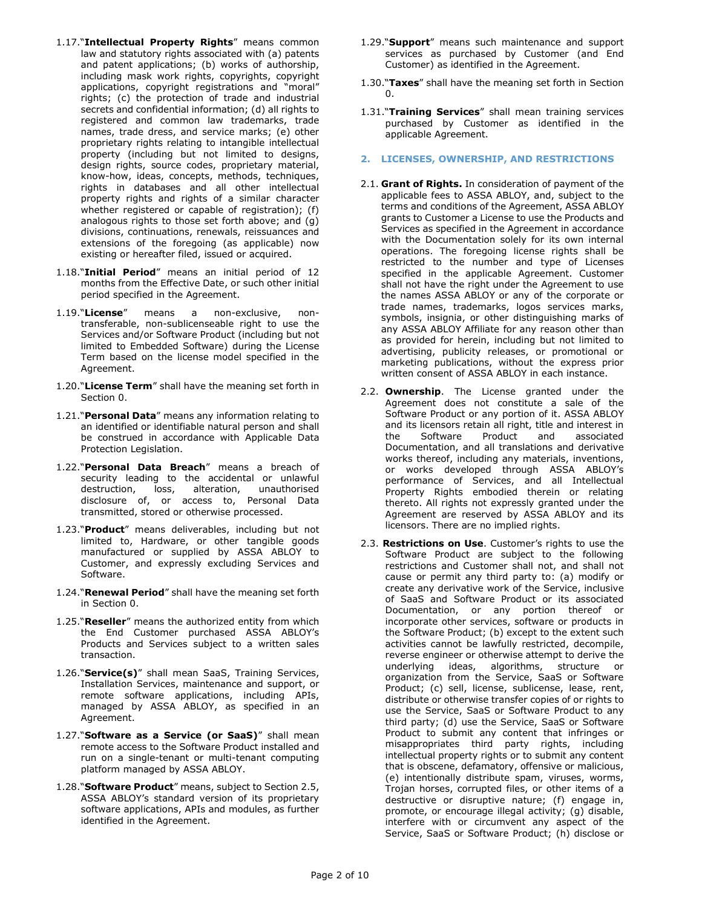- 1.17."**Intellectual Property Rights**" means common law and statutory rights associated with (a) patents and patent applications; (b) works of authorship, including mask work rights, copyrights, copyright applications, copyright registrations and "moral" rights; (c) the protection of trade and industrial secrets and confidential information; (d) all rights to registered and common law trademarks, trade names, trade dress, and service marks; (e) other proprietary rights relating to intangible intellectual property (including but not limited to designs, design rights, source codes, proprietary material, know-how, ideas, concepts, methods, techniques, rights in databases and all other intellectual property rights and rights of a similar character whether registered or capable of registration); (f) analogous rights to those set forth above; and (g) divisions, continuations, renewals, reissuances and extensions of the foregoing (as applicable) now existing or hereafter filed, issued or acquired.
- 1.18."**Initial Period**" means an initial period of 12 months from the Effective Date, or such other initial period specified in the Agreement.
- 1.19."**License**" means a non-exclusive, nontransferable, non-sublicenseable right to use the Services and/or Software Product (including but not limited to Embedded Software) during the License Term based on the license model specified in the Agreement.
- 1.20."**License Term**" shall have the meaning set forth in Section [0.](#page-7-0)
- 1.21."**Personal Data**" means any information relating to an identified or identifiable natural person and shall be construed in accordance with Applicable Data Protection Legislation.
- 1.22."**Personal Data Breach**" means a breach of security leading to the accidental or unlawful destruction, loss, alteration, unauthorised disclosure of, or access to, Personal Data transmitted, stored or otherwise processed.
- 1.23."**Product**" means deliverables, including but not limited to, Hardware, or other tangible goods manufactured or supplied by ASSA ABLOY to Customer, and expressly excluding Services and Software.
- 1.24."**Renewal Period**" shall have the meaning set forth in Section [0.](#page-7-0)
- 1.25."**Reseller**" means the authorized entity from which the End Customer purchased ASSA ABLOY's Products and Services subject to a written sales transaction.
- 1.26."**Service(s)**" shall mean SaaS, Training Services, Installation Services, maintenance and support, or remote software applications, including APIs, managed by ASSA ABLOY, as specified in an Agreement.
- 1.27."**Software as a Service (or SaaS)**" shall mean remote access to the Software Product installed and run on a single-tenant or multi-tenant computing platform managed by ASSA ABLOY.
- 1.28."**Software Product**" means, subject to Section 2.5, ASSA ABLOY's standard version of its proprietary software applications, APIs and modules, as further identified in the Agreement.
- 1.29."**Support**" means such maintenance and support services as purchased by Customer (and End Customer) as identified in the Agreement.
- 1.30."**Taxes**" shall have the meaning set forth in Section [0.](#page-3-0)
- 1.31."**Training Services**" shall mean training services purchased by Customer as identified in the applicable Agreement.
- **2. LICENSES, OWNERSHIP, AND RESTRICTIONS**
- 2.1. **Grant of Rights.** In consideration of payment of the applicable fees to ASSA ABLOY, and, subject to the terms and conditions of the Agreement, ASSA ABLOY grants to Customer a License to use the Products and Services as specified in the Agreement in accordance with the Documentation solely for its own internal operations. The foregoing license rights shall be restricted to the number and type of Licenses specified in the applicable Agreement. Customer shall not have the right under the Agreement to use the names ASSA ABLOY or any of the corporate or trade names, trademarks, logos services marks, symbols, insignia, or other distinguishing marks of any ASSA ABLOY Affiliate for any reason other than as provided for herein, including but not limited to advertising, publicity releases, or promotional or marketing publications, without the express prior written consent of ASSA ABLOY in each instance.
- 2.2. **Ownership**. The License granted under the Agreement does not constitute a sale of the Software Product or any portion of it. ASSA ABLOY and its licensors retain all right, title and interest in the Software Product and associated the Software Product and associated Documentation, and all translations and derivative works thereof, including any materials, inventions, or works developed through ASSA ABLOY's performance of Services, and all Intellectual Property Rights embodied therein or relating thereto. All rights not expressly granted under the Agreement are reserved by ASSA ABLOY and its licensors. There are no implied rights.
- 2.3. **Restrictions on Use**. Customer's rights to use the Software Product are subject to the following restrictions and Customer shall not, and shall not cause or permit any third party to: (a) modify or create any derivative work of the Service, inclusive of SaaS and Software Product or its associated Documentation, or any portion thereof or incorporate other services, software or products in the Software Product; (b) except to the extent such activities cannot be lawfully restricted, decompile, reverse engineer or otherwise attempt to derive the underlying ideas, algorithms, structure or organization from the Service, SaaS or Software Product; (c) sell, license, sublicense, lease, rent, distribute or otherwise transfer copies of or rights to use the Service, SaaS or Software Product to any third party; (d) use the Service, SaaS or Software Product to submit any content that infringes or misappropriates third party rights, including intellectual property rights or to submit any content that is obscene, defamatory, offensive or malicious, (e) intentionally distribute spam, viruses, worms, Trojan horses, corrupted files, or other items of a destructive or disruptive nature; (f) engage in, promote, or encourage illegal activity; (g) disable, interfere with or circumvent any aspect of the Service, SaaS or Software Product; (h) disclose or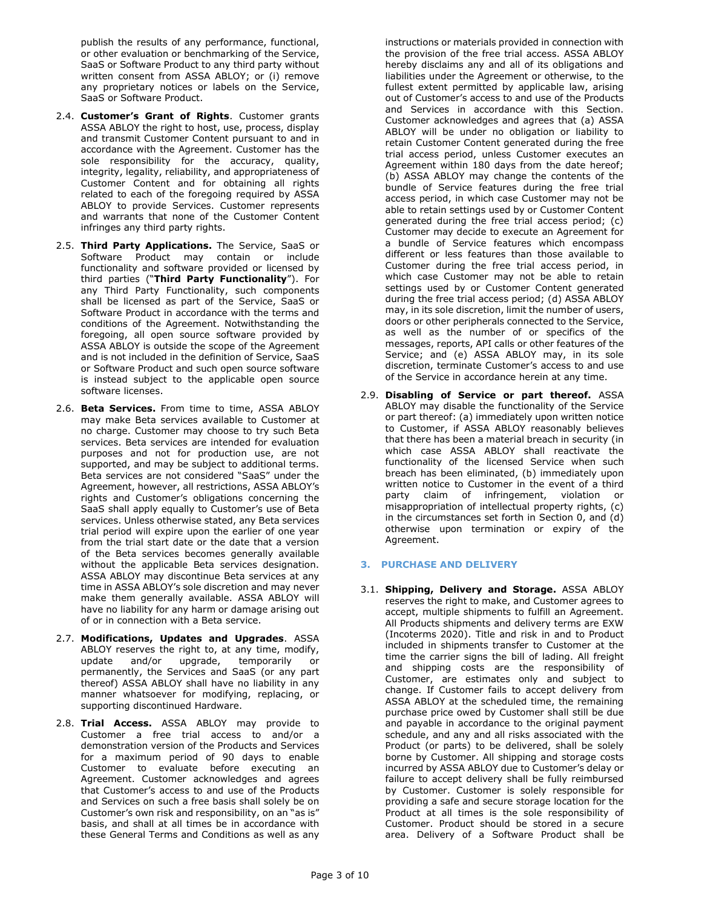publish the results of any performance, functional, or other evaluation or benchmarking of the Service, SaaS or Software Product to any third party without written consent from ASSA ABLOY; or (i) remove any proprietary notices or labels on the Service, SaaS or Software Product.

- 2.4. **Customer's Grant of Rights**. Customer grants ASSA ABLOY the right to host, use, process, display and transmit Customer Content pursuant to and in accordance with the Agreement. Customer has the sole responsibility for the accuracy, quality, integrity, legality, reliability, and appropriateness of Customer Content and for obtaining all rights related to each of the foregoing required by ASSA ABLOY to provide Services. Customer represents and warrants that none of the Customer Content infringes any third party rights.
- 2.5. **Third Party Applications.** The Service, SaaS or Software Product may contain or include functionality and software provided or licensed by third parties ("**Third Party Functionality**"). For any Third Party Functionality, such components shall be licensed as part of the Service, SaaS or Software Product in accordance with the terms and conditions of the Agreement. Notwithstanding the foregoing, all open source software provided by ASSA ABLOY is outside the scope of the Agreement and is not included in the definition of Service, SaaS or Software Product and such open source software is instead subject to the applicable open source software licenses.
- 2.6. **Beta Services.** From time to time, ASSA ABLOY may make Beta services available to Customer at no charge. Customer may choose to try such Beta services. Beta services are intended for evaluation purposes and not for production use, are not supported, and may be subject to additional terms. Beta services are not considered "SaaS" under the Agreement, however, all restrictions, ASSA ABLOY's rights and Customer's obligations concerning the SaaS shall apply equally to Customer's use of Beta services. Unless otherwise stated, any Beta services trial period will expire upon the earlier of one year from the trial start date or the date that a version of the Beta services becomes generally available without the applicable Beta services designation. ASSA ABLOY may discontinue Beta services at any time in ASSA ABLOY's sole discretion and may never make them generally available. ASSA ABLOY will have no liability for any harm or damage arising out of or in connection with a Beta service.
- 2.7. **Modifications, Updates and Upgrades**. ASSA ABLOY reserves the right to, at any time, modify, update and/or upgrade, temporarily or permanently, the Services and SaaS (or any part thereof) ASSA ABLOY shall have no liability in any manner whatsoever for modifying, replacing, or supporting discontinued Hardware.
- 2.8. **Trial Access.** ASSA ABLOY may provide to Customer a free trial access to and/or a demonstration version of the Products and Services for a maximum period of 90 days to enable Customer to evaluate before executing an Agreement. Customer acknowledges and agrees that Customer's access to and use of the Products and Services on such a free basis shall solely be on Customer's own risk and responsibility, on an "as is" basis, and shall at all times be in accordance with these General Terms and Conditions as well as any

instructions or materials provided in connection with the provision of the free trial access. ASSA ABLOY hereby disclaims any and all of its obligations and liabilities under the Agreement or otherwise, to the fullest extent permitted by applicable law, arising out of Customer's access to and use of the Products and Services in accordance with this Section. Customer acknowledges and agrees that (a) ASSA ABLOY will be under no obligation or liability to retain Customer Content generated during the free trial access period, unless Customer executes an Agreement within 180 days from the date hereof; (b) ASSA ABLOY may change the contents of the bundle of Service features during the free trial access period, in which case Customer may not be able to retain settings used by or Customer Content generated during the free trial access period; (c) Customer may decide to execute an Agreement for a bundle of Service features which encompass different or less features than those available to Customer during the free trial access period, in which case Customer may not be able to retain settings used by or Customer Content generated during the free trial access period; (d) ASSA ABLOY may, in its sole discretion, limit the number of users, doors or other peripherals connected to the Service, as well as the number of or specifics of the messages, reports, API calls or other features of the Service; and (e) ASSA ABLOY may, in its sole discretion, terminate Customer's access to and use of the Service in accordance herein at any time.

2.9. **Disabling of Service or part thereof.** ASSA ABLOY may disable the functionality of the Service or part thereof: (a) immediately upon written notice to Customer, if ASSA ABLOY reasonably believes that there has been a material breach in security (in which case ASSA ABLOY shall reactivate the functionality of the licensed Service when such breach has been eliminated, (b) immediately upon written notice to Customer in the event of a third party claim of infringement, violation or misappropriation of intellectual property rights, (c) in the circumstances set forth in Section [0,](#page-7-1) and (d) otherwise upon termination or expiry of the Agreement.

# **3. PURCHASE AND DELIVERY**

3.1. **Shipping, Delivery and Storage.** ASSA ABLOY reserves the right to make, and Customer agrees to accept, multiple shipments to fulfill an Agreement. All Products shipments and delivery terms are EXW (Incoterms 2020). Title and risk in and to Product included in shipments transfer to Customer at the time the carrier signs the bill of lading. All freight and shipping costs are the responsibility of Customer, are estimates only and subject to change. If Customer fails to accept delivery from ASSA ABLOY at the scheduled time, the remaining purchase price owed by Customer shall still be due and payable in accordance to the original payment schedule, and any and all risks associated with the Product (or parts) to be delivered, shall be solely borne by Customer. All shipping and storage costs incurred by ASSA ABLOY due to Customer's delay or failure to accept delivery shall be fully reimbursed by Customer. Customer is solely responsible for providing a safe and secure storage location for the Product at all times is the sole responsibility of Customer. Product should be stored in a secure area. Delivery of a Software Product shall be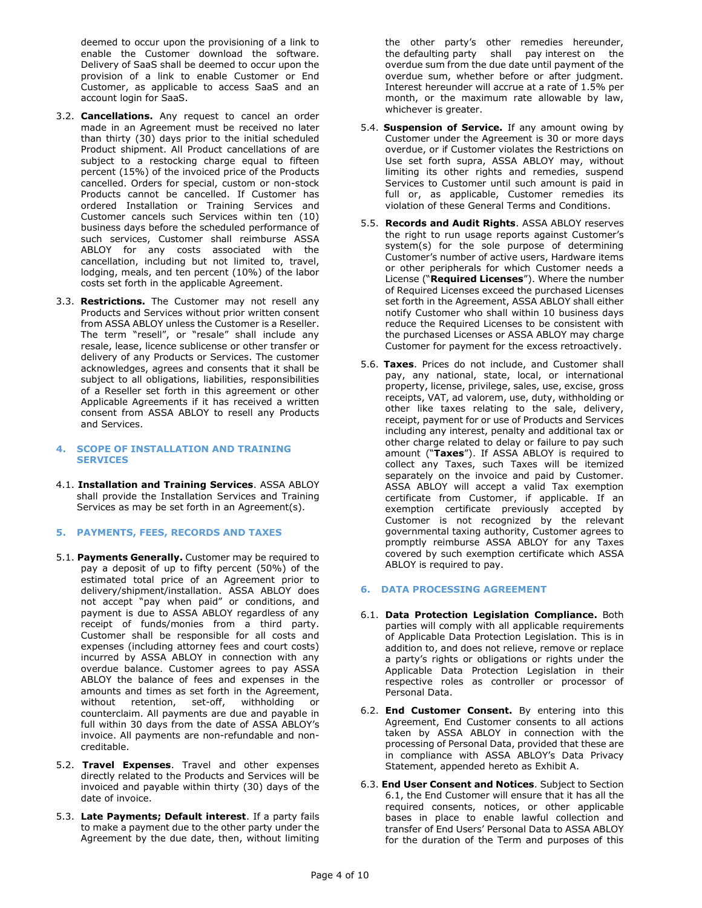deemed to occur upon the provisioning of a link to enable the Customer download the software. Delivery of SaaS shall be deemed to occur upon the provision of a link to enable Customer or End Customer, as applicable to access SaaS and an account login for SaaS.

- 3.2. **Cancellations.** Any request to cancel an order made in an Agreement must be received no later than thirty (30) days prior to the initial scheduled Product shipment. All Product cancellations of are subject to a restocking charge equal to fifteen percent (15%) of the invoiced price of the Products cancelled. Orders for special, custom or non-stock Products cannot be cancelled. If Customer has ordered Installation or Training Services and Customer cancels such Services within ten (10) business days before the scheduled performance of such services, Customer shall reimburse ASSA ABLOY for any costs associated with the cancellation, including but not limited to, travel, lodging, meals, and ten percent (10%) of the labor costs set forth in the applicable Agreement.
- 3.3. **Restrictions.** The Customer may not resell any Products and Services without prior written consent from ASSA ABLOY unless the Customer is a Reseller. The term "resell", or "resale" shall include any resale, lease, licence sublicense or other transfer or delivery of any Products or Services. The customer acknowledges, agrees and consents that it shall be subject to all obligations, liabilities, responsibilities of a Reseller set forth in this agreement or other Applicable Agreements if it has received a written consent from ASSA ABLOY to resell any Products and Services.

### **4. SCOPE OF INSTALLATION AND TRAINING SERVICES**

- 4.1. **Installation and Training Services**. ASSA ABLOY shall provide the Installation Services and Training Services as may be set forth in an Agreement(s).
- **5. PAYMENTS, FEES, RECORDS AND TAXES**
- 5.1. **Payments Generally.** Customer may be required to pay a deposit of up to fifty percent (50%) of the estimated total price of an Agreement prior to delivery/shipment/installation. ASSA ABLOY does not accept "pay when paid" or conditions, and payment is due to ASSA ABLOY regardless of any receipt of funds/monies from a third party. Customer shall be responsible for all costs and expenses (including attorney fees and court costs) incurred by ASSA ABLOY in connection with any overdue balance. Customer agrees to pay ASSA ABLOY the balance of fees and expenses in the amounts and times as set forth in the Agreement, without retention, set-off, withholding or counterclaim. All payments are due and payable in full within 30 days from the date of ASSA ABLOY's invoice. All payments are non-refundable and noncreditable.
- 5.2. **Travel Expenses**. Travel and other expenses directly related to the Products and Services will be invoiced and payable within thirty (30) days of the date of invoice.
- 5.3. **Late Payments; Default interest**. If a party fails to make a payment due to the other party under the Agreement by the due date, then, without limiting

the other party's other remedies hereunder, the defaulting party shall pay interest on the overdue sum from the due date until payment of the overdue sum, whether before or after judgment. Interest hereunder will accrue at a rate of 1.5% per month, or the maximum rate allowable by law, whichever is greater.

- 5.4. **Suspension of Service.** If any amount owing by Customer under the Agreement is 30 or more days overdue, or if Customer violates the Restrictions on Use set forth supra, ASSA ABLOY may, without limiting its other rights and remedies, suspend Services to Customer until such amount is paid in full or, as applicable, Customer remedies its violation of these General Terms and Conditions.
- 5.5. **Records and Audit Rights**. ASSA ABLOY reserves the right to run usage reports against Customer's system(s) for the sole purpose of determining Customer's number of active users, Hardware items or other peripherals for which Customer needs a License ("**Required Licenses**"). Where the number of Required Licenses exceed the purchased Licenses set forth in the Agreement, ASSA ABLOY shall either notify Customer who shall within 10 business days reduce the Required Licenses to be consistent with the purchased Licenses or ASSA ABLOY may charge Customer for payment for the excess retroactively.
- <span id="page-3-0"></span>5.6. **Taxes**. Prices do not include, and Customer shall pay, any national, state, local, or international property, license, privilege, sales, use, excise, gross receipts, VAT, ad valorem, use, duty, withholding or other like taxes relating to the sale, delivery, receipt, payment for or use of Products and Services including any interest, penalty and additional tax or other charge related to delay or failure to pay such amount ("**Taxes**"). If ASSA ABLOY is required to collect any Taxes, such Taxes will be itemized separately on the invoice and paid by Customer. ASSA ABLOY will accept a valid Tax exemption certificate from Customer, if applicable. If an exemption certificate previously accepted by Customer is not recognized by the relevant governmental taxing authority, Customer agrees to promptly reimburse ASSA ABLOY for any Taxes covered by such exemption certificate which ASSA ABLOY is required to pay.

# **6. DATA PROCESSING AGREEMENT**

- 6.1. **Data Protection Legislation Compliance.** Both parties will comply with all applicable requirements of Applicable Data Protection Legislation. This is in addition to, and does not relieve, remove or replace a party's rights or obligations or rights under the Applicable Data Protection Legislation in their respective roles as controller or processor of Personal Data.
- 6.2. **End Customer Consent.** By entering into this Agreement, End Customer consents to all actions taken by ASSA ABLOY in connection with the processing of Personal Data, provided that these are in compliance with ASSA ABLOY's Data Privacy Statement, appended hereto as Exhibit A.
- 6.3. **End User Consent and Notices**. Subject to Section 6.1, the End Customer will ensure that it has all the required consents, notices, or other applicable bases in place to enable lawful collection and transfer of End Users' Personal Data to ASSA ABLOY for the duration of the Term and purposes of this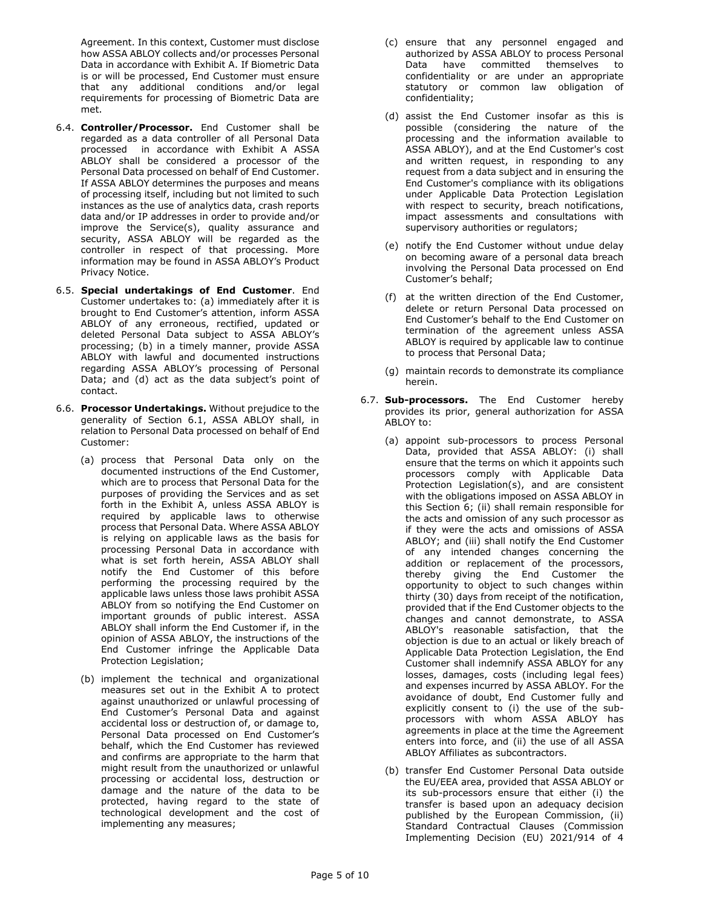Agreement. In this context, Customer must disclose how ASSA ABLOY collects and/or processes Personal Data in accordance with Exhibit A. If Biometric Data is or will be processed, End Customer must ensure that any additional conditions and/or legal requirements for processing of Biometric Data are met.

- 6.4. **Controller/Processor.** End Customer shall be regarded as a data controller of all Personal Data processed in accordance with Exhibit A ASSA ABLOY shall be considered a processor of the Personal Data processed on behalf of End Customer. If ASSA ABLOY determines the purposes and means of processing itself, including but not limited to such instances as the use of analytics data, crash reports data and/or IP addresses in order to provide and/or improve the Service(s), quality assurance and security, ASSA ABLOY will be regarded as the controller in respect of that processing. More information may be found in ASSA ABLOY's Product Privacy Notice.
- 6.5. **Special undertakings of End Customer**. End Customer undertakes to: (a) immediately after it is brought to End Customer's attention, inform ASSA ABLOY of any erroneous, rectified, updated or deleted Personal Data subject to ASSA ABLOY's processing; (b) in a timely manner, provide ASSA ABLOY with lawful and documented instructions regarding ASSA ABLOY's processing of Personal Data; and (d) act as the data subject's point of contact.
- 6.6. **Processor Undertakings.** Without prejudice to the generality of Section 6.1, ASSA ABLOY shall, in relation to Personal Data processed on behalf of End Customer:
	- (a) process that Personal Data only on the documented instructions of the End Customer, which are to process that Personal Data for the purposes of providing the Services and as set forth in the Exhibit A, unless ASSA ABLOY is required by applicable laws to otherwise process that Personal Data. Where ASSA ABLOY is relying on applicable laws as the basis for processing Personal Data in accordance with what is set forth herein, ASSA ABLOY shall notify the End Customer of this before performing the processing required by the applicable laws unless those laws prohibit ASSA ABLOY from so notifying the End Customer on important grounds of public interest. ASSA ABLOY shall inform the End Customer if, in the opinion of ASSA ABLOY, the instructions of the End Customer infringe the Applicable Data Protection Legislation;
	- (b) implement the technical and organizational measures set out in the Exhibit A to protect against unauthorized or unlawful processing of End Customer's Personal Data and against accidental loss or destruction of, or damage to, Personal Data processed on End Customer's behalf, which the End Customer has reviewed and confirms are appropriate to the harm that might result from the unauthorized or unlawful processing or accidental loss, destruction or damage and the nature of the data to be protected, having regard to the state of technological development and the cost of implementing any measures;
- (c) ensure that any personnel engaged and authorized by ASSA ABLOY to process Personal Data have committed themselves to confidentiality or are under an appropriate statutory or common law obligation of confidentiality;
- (d) assist the End Customer insofar as this is possible (considering the nature of the processing and the information available to ASSA ABLOY), and at the End Customer's cost and written request, in responding to any request from a data subject and in ensuring the End Customer's compliance with its obligations under Applicable Data Protection Legislation with respect to security, breach notifications, impact assessments and consultations with supervisory authorities or regulators;
- (e) notify the End Customer without undue delay on becoming aware of a personal data breach involving the Personal Data processed on End Customer's behalf;
- (f) at the written direction of the End Customer, delete or return Personal Data processed on End Customer's behalf to the End Customer on termination of the agreement unless ASSA ABLOY is required by applicable law to continue to process that Personal Data;
- (g) maintain records to demonstrate its compliance herein.
- 6.7. **Sub-processors.** The End Customer hereby provides its prior, general authorization for ASSA ABLOY to:
	- (a) appoint sub-processors to process Personal Data, provided that ASSA ABLOY: (i) shall ensure that the terms on which it appoints such processors comply with Applicable Data Protection Legislation(s), and are consistent with the obligations imposed on ASSA ABLOY in this Section 6; (ii) shall remain responsible for the acts and omission of any such processor as if they were the acts and omissions of ASSA ABLOY; and (iii) shall notify the End Customer of any intended changes concerning the addition or replacement of the processors, thereby giving the End Customer the opportunity to object to such changes within thirty (30) days from receipt of the notification, provided that if the End Customer objects to the changes and cannot demonstrate, to ASSA ABLOY's reasonable satisfaction, that the objection is due to an actual or likely breach of Applicable Data Protection Legislation, the End Customer shall indemnify ASSA ABLOY for any losses, damages, costs (including legal fees) and expenses incurred by ASSA ABLOY. For the avoidance of doubt, End Customer fully and explicitly consent to (i) the use of the subprocessors with whom ASSA ABLOY has agreements in place at the time the Agreement enters into force, and (ii) the use of all ASSA ABLOY Affiliates as subcontractors.
	- (b) transfer End Customer Personal Data outside the EU/EEA area, provided that ASSA ABLOY or its sub-processors ensure that either (i) the transfer is based upon an adequacy decision published by the European Commission, (ii) Standard Contractual Clauses (Commission Implementing Decision (EU) 2021/914 of 4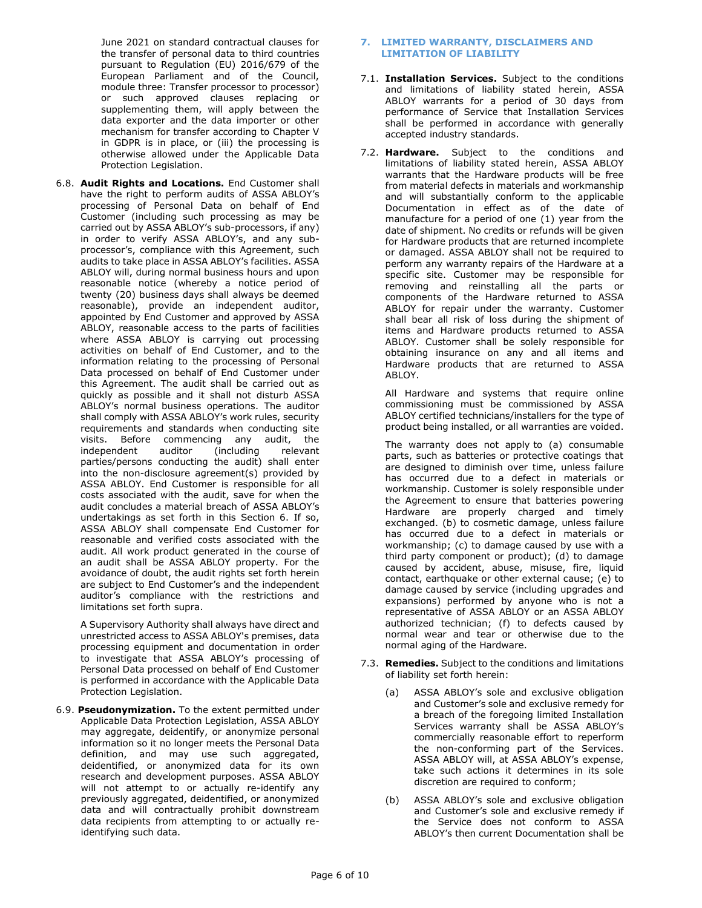June 2021 on standard contractual clauses for the transfer of personal data to third countries pursuant to Regulation (EU) 2016/679 of the European Parliament and of the Council, module three: Transfer processor to processor) or such approved clauses replacing or supplementing them, will apply between the data exporter and the data importer or other mechanism for transfer according to Chapter V in GDPR is in place, or (iii) the processing is otherwise allowed under the Applicable Data Protection Legislation.

6.8. **Audit Rights and Locations.** End Customer shall have the right to perform audits of ASSA ABLOY's processing of Personal Data on behalf of End Customer (including such processing as may be carried out by ASSA ABLOY's sub-processors, if any) in order to verify ASSA ABLOY's, and any subprocessor's, compliance with this Agreement, such audits to take place in ASSA ABLOY's facilities. ASSA ABLOY will, during normal business hours and upon reasonable notice (whereby a notice period of twenty (20) business days shall always be deemed reasonable), provide an independent auditor, appointed by End Customer and approved by ASSA ABLOY, reasonable access to the parts of facilities where ASSA ABLOY is carrying out processing activities on behalf of End Customer, and to the information relating to the processing of Personal Data processed on behalf of End Customer under this Agreement. The audit shall be carried out as quickly as possible and it shall not disturb ASSA ABLOY's normal business operations. The auditor shall comply with ASSA ABLOY's work rules, security requirements and standards when conducting site visits. Before commencing any audit, the independent auditor (including relevant parties/persons conducting the audit) shall enter into the non-disclosure agreement(s) provided by ASSA ABLOY. End Customer is responsible for all costs associated with the audit, save for when the audit concludes a material breach of ASSA ABLOY's undertakings as set forth in this Section 6. If so, ASSA ABLOY shall compensate End Customer for reasonable and verified costs associated with the audit. All work product generated in the course of an audit shall be ASSA ABLOY property. For the avoidance of doubt, the audit rights set forth herein are subject to End Customer's and the independent auditor's compliance with the restrictions and limitations set forth supra.

A Supervisory Authority shall always have direct and unrestricted access to ASSA ABLOY's premises, data processing equipment and documentation in order to investigate that ASSA ABLOY's processing of Personal Data processed on behalf of End Customer is performed in accordance with the Applicable Data Protection Legislation.

6.9. **Pseudonymization.** To the extent permitted under Applicable Data Protection Legislation, ASSA ABLOY may aggregate, deidentify, or anonymize personal information so it no longer meets the Personal Data definition, and may use such aggregated, deidentified, or anonymized data for its own research and development purposes. ASSA ABLOY will not attempt to or actually re-identify any previously aggregated, deidentified, or anonymized data and will contractually prohibit downstream data recipients from attempting to or actually reidentifying such data.

## <span id="page-5-0"></span>**7. LIMITED WARRANTY, DISCLAIMERS AND LIMITATION OF LIABILITY**

- 7.1. **Installation Services.** Subject to the conditions and limitations of liability stated herein, ASSA ABLOY warrants for a period of 30 days from performance of Service that Installation Services shall be performed in accordance with generally accepted industry standards.
- 7.2. **Hardware.** Subject to the conditions and limitations of liability stated herein, ASSA ABLOY warrants that the Hardware products will be free from material defects in materials and workmanship and will substantially conform to the applicable Documentation in effect as of the date of manufacture for a period of one (1) year from the date of shipment. No credits or refunds will be given for Hardware products that are returned incomplete or damaged. ASSA ABLOY shall not be required to perform any warranty repairs of the Hardware at a specific site. Customer may be responsible for removing and reinstalling all the parts or components of the Hardware returned to ASSA ABLOY for repair under the warranty. Customer shall bear all risk of loss during the shipment of items and Hardware products returned to ASSA ABLOY. Customer shall be solely responsible for obtaining insurance on any and all items and Hardware products that are returned to ASSA ABLOY.

All Hardware and systems that require online commissioning must be commissioned by ASSA ABLOY certified technicians/installers for the type of product being installed, or all warranties are voided.

The warranty does not apply to (a) consumable parts, such as batteries or protective coatings that are designed to diminish over time, unless failure has occurred due to a defect in materials or workmanship. Customer is solely responsible under the Agreement to ensure that batteries powering Hardware are properly charged and timely exchanged. (b) to cosmetic damage, unless failure has occurred due to a defect in materials or workmanship; (c) to damage caused by use with a third party component or product); (d) to damage caused by accident, abuse, misuse, fire, liquid contact, earthquake or other external cause; (e) to damage caused by service (including upgrades and expansions) performed by anyone who is not a representative of ASSA ABLOY or an ASSA ABLOY authorized technician; (f) to defects caused by normal wear and tear or otherwise due to the normal aging of the Hardware.

- 7.3. **Remedies.** Subject to the conditions and limitations of liability set forth herein:
	- (a) ASSA ABLOY's sole and exclusive obligation and Customer's sole and exclusive remedy for a breach of the foregoing limited Installation Services warranty shall be ASSA ABLOY's commercially reasonable effort to reperform the non-conforming part of the Services. ASSA ABLOY will, at ASSA ABLOY's expense, take such actions it determines in its sole discretion are required to conform;
	- (b) ASSA ABLOY's sole and exclusive obligation and Customer's sole and exclusive remedy if the Service does not conform to ASSA ABLOY's then current Documentation shall be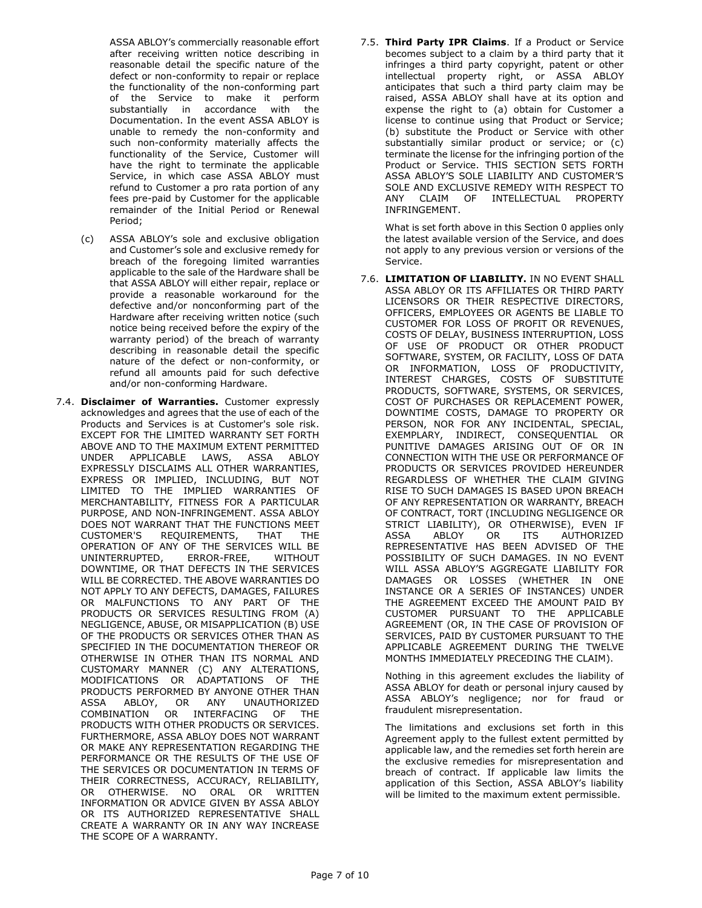ASSA ABLOY's commercially reasonable effort after receiving written notice describing in reasonable detail the specific nature of the defect or non-conformity to repair or replace the functionality of the non-conforming part of the Service to make it perform substantially in accordance with the Documentation. In the event ASSA ABLOY is unable to remedy the non-conformity and such non-conformity materially affects the functionality of the Service, Customer will have the right to terminate the applicable Service, in which case ASSA ABLOY must refund to Customer a pro rata portion of any fees pre-paid by Customer for the applicable remainder of the Initial Period or Renewal Period;

- (c) ASSA ABLOY's sole and exclusive obligation and Customer's sole and exclusive remedy for breach of the foregoing limited warranties applicable to the sale of the Hardware shall be that ASSA ABLOY will either repair, replace or provide a reasonable workaround for the defective and/or nonconforming part of the Hardware after receiving written notice (such notice being received before the expiry of the warranty period) of the breach of warranty describing in reasonable detail the specific nature of the defect or non-conformity, or refund all amounts paid for such defective and/or non-conforming Hardware.
- 7.4. **Disclaimer of Warranties.** Customer expressly acknowledges and agrees that the use of each of the Products and Services is at Customer's sole risk. EXCEPT FOR THE LIMITED WARRANTY SET FORTH ABOVE AND TO THE MAXIMUM EXTENT PERMITTED UNDER APPLICABLE LAWS, ASSA ABLOY EXPRESSLY DISCLAIMS ALL OTHER WARRANTIES, EXPRESS OR IMPLIED, INCLUDING, BUT NOT LIMITED TO THE IMPLIED WARRANTIES OF MERCHANTABILITY, FITNESS FOR A PARTICULAR PURPOSE, AND NON-INFRINGEMENT. ASSA ABLOY DOES NOT WARRANT THAT THE FUNCTIONS MEET CUSTOMER'S REQUIREMENTS, THAT THE OPERATION OF ANY OF THE SERVICES WILL BE UNINTERRUPTED, ERROR-FREE, WITHOUT DOWNTIME, OR THAT DEFECTS IN THE SERVICES WILL BE CORRECTED. THE ABOVE WARRANTIES DO NOT APPLY TO ANY DEFECTS, DAMAGES, FAILURES OR MALFUNCTIONS TO ANY PART OF THE PRODUCTS OR SERVICES RESULTING FROM (A) NEGLIGENCE, ABUSE, OR MISAPPLICATION (B) USE OF THE PRODUCTS OR SERVICES OTHER THAN AS SPECIFIED IN THE DOCUMENTATION THEREOF OR OTHERWISE IN OTHER THAN ITS NORMAL AND CUSTOMARY MANNER (C) ANY ALTERATIONS, MODIFICATIONS OR ADAPTATIONS OF THE PRODUCTS PERFORMED BY ANYONE OTHER THAN<br>ASSA ABLOY, OR ANY UNAUTHORIZED ASSA ABLOY, OR ANY UNAUTHORIZED COMBINATION OR INTERFACING OF THE PRODUCTS WITH OTHER PRODUCTS OR SERVICES. FURTHERMORE, ASSA ABLOY DOES NOT WARRANT OR MAKE ANY REPRESENTATION REGARDING THE PERFORMANCE OR THE RESULTS OF THE USE OF THE SERVICES OR DOCUMENTATION IN TERMS OF THEIR CORRECTNESS, ACCURACY, RELIABILITY, OR OTHERWISE. NO ORAL OR WRITTEN INFORMATION OR ADVICE GIVEN BY ASSA ABLOY OR ITS AUTHORIZED REPRESENTATIVE SHALL CREATE A WARRANTY OR IN ANY WAY INCREASE THE SCOPE OF A WARRANTY.

7.5. **Third Party IPR Claims**. If a Product or Service becomes subject to a claim by a third party that it infringes a third party copyright, patent or other intellectual property right, or ASSA ABLOY anticipates that such a third party claim may be raised, ASSA ABLOY shall have at its option and expense the right to (a) obtain for Customer a license to continue using that Product or Service; (b) substitute the Product or Service with other substantially similar product or service; or (c) terminate the license for the infringing portion of the Product or Service. THIS SECTION SETS FORTH ASSA ABLOY'S SOLE LIABILITY AND CUSTOMER'S SOLE AND EXCLUSIVE REMEDY WITH RESPECT TO ANY CLAIM OF INTELLECTUAL PROPERTY INFRINGEMENT.

What is set forth above in this Section [0](#page-5-0) applies only the latest available version of the Service, and does not apply to any previous version or versions of the Service.

7.6. **LIMITATION OF LIABILITY.** IN NO EVENT SHALL ASSA ABLOY OR ITS AFFILIATES OR THIRD PARTY LICENSORS OR THEIR RESPECTIVE DIRECTORS, OFFICERS, EMPLOYEES OR AGENTS BE LIABLE TO CUSTOMER FOR LOSS OF PROFIT OR REVENUES, COSTS OF DELAY, BUSINESS INTERRUPTION, LOSS OF USE OF PRODUCT OR OTHER PRODUCT SOFTWARE, SYSTEM, OR FACILITY, LOSS OF DATA OR INFORMATION, LOSS OF PRODUCTIVITY, INTEREST CHARGES, COSTS OF SUBSTITUTE PRODUCTS, SOFTWARE, SYSTEMS, OR SERVICES, COST OF PURCHASES OR REPLACEMENT POWER, DOWNTIME COSTS, DAMAGE TO PROPERTY OR PERSON, NOR FOR ANY INCIDENTAL, SPECIAL, EXEMPLARY, INDIRECT, CONSEQUENTIAL OR PUNITIVE DAMAGES ARISING OUT OF OR IN CONNECTION WITH THE USE OR PERFORMANCE OF PRODUCTS OR SERVICES PROVIDED HEREUNDER REGARDLESS OF WHETHER THE CLAIM GIVING RISE TO SUCH DAMAGES IS BASED UPON BREACH OF ANY REPRESENTATION OR WARRANTY, BREACH OF CONTRACT, TORT (INCLUDING NEGLIGENCE OR STRICT LIABILITY), OR OTHERWISE), EVEN IF ASSA ABLOY OR ITS AUTHORIZED REPRESENTATIVE HAS BEEN ADVISED OF THE POSSIBILITY OF SUCH DAMAGES. IN NO EVENT WILL ASSA ABLOY'S AGGREGATE LIABILITY FOR DAMAGES OR LOSSES (WHETHER IN ONE INSTANCE OR A SERIES OF INSTANCES) UNDER THE AGREEMENT EXCEED THE AMOUNT PAID BY CUSTOMER PURSUANT TO THE APPLICABLE AGREEMENT (OR, IN THE CASE OF PROVISION OF SERVICES, PAID BY CUSTOMER PURSUANT TO THE APPLICABLE AGREEMENT DURING THE TWELVE MONTHS IMMEDIATELY PRECEDING THE CLAIM).

Nothing in this agreement excludes the liability of ASSA ABLOY for death or personal injury caused by ASSA ABLOY's negligence; nor for fraud or fraudulent misrepresentation.

The limitations and exclusions set forth in this Agreement apply to the fullest extent permitted by applicable law, and the remedies set forth herein are the exclusive remedies for misrepresentation and breach of contract. If applicable law limits the application of this Section, ASSA ABLOY's liability will be limited to the maximum extent permissible.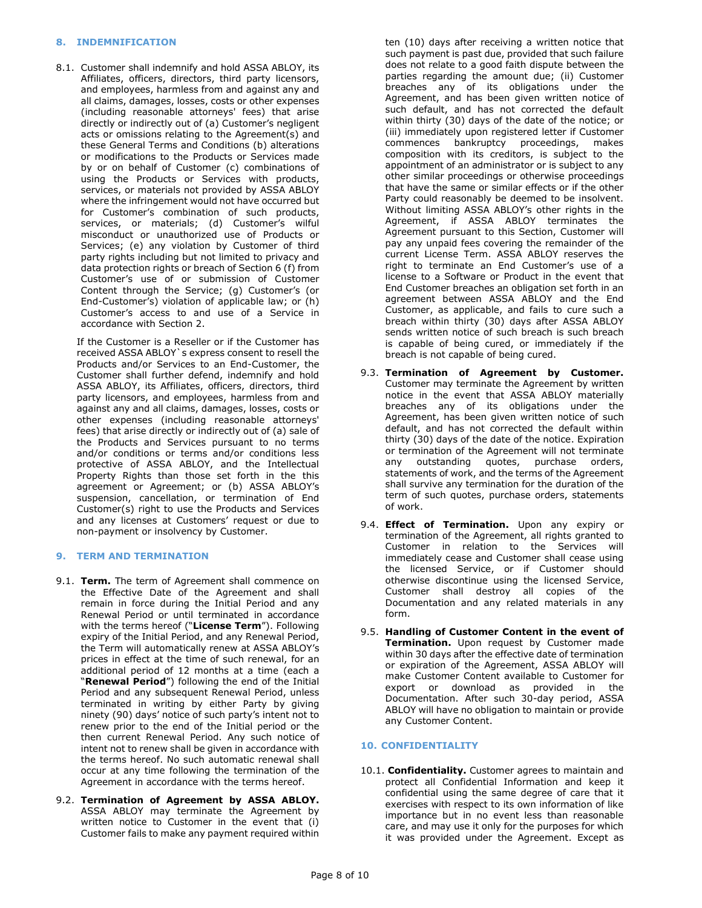## **8. INDEMNIFICATION**

8.1. Customer shall indemnify and hold ASSA ABLOY, its Affiliates, officers, directors, third party licensors, and employees, harmless from and against any and all claims, damages, losses, costs or other expenses (including reasonable attorneys' fees) that arise directly or indirectly out of (a) Customer's negligent acts or omissions relating to the Agreement(s) and these General Terms and Conditions (b) alterations or modifications to the Products or Services made by or on behalf of Customer (c) combinations of using the Products or Services with products, services, or materials not provided by ASSA ABLOY where the infringement would not have occurred but for Customer's combination of such products, services, or materials; (d) Customer's wilful misconduct or unauthorized use of Products or Services; (e) any violation by Customer of third party rights including but not limited to privacy and data protection rights or breach of Section 6 (f) from Customer's use of or submission of Customer Content through the Service; (g) Customer's (or End-Customer's) violation of applicable law; or (h) Customer's access to and use of a Service in accordance with Section 2.

If the Customer is a Reseller or if the Customer has received ASSA ABLOY`s express consent to resell the Products and/or Services to an End-Customer, the Customer shall further defend, indemnify and hold ASSA ABLOY, its Affiliates, officers, directors, third party licensors, and employees, harmless from and against any and all claims, damages, losses, costs or other expenses (including reasonable attorneys' fees) that arise directly or indirectly out of (a) sale of the Products and Services pursuant to no terms and/or conditions or terms and/or conditions less protective of ASSA ABLOY, and the Intellectual Property Rights than those set forth in the this agreement or Agreement; or (b) ASSA ABLOY's suspension, cancellation, or termination of End Customer(s) right to use the Products and Services and any licenses at Customers' request or due to non-payment or insolvency by Customer.

# **9. TERM AND TERMINATION**

- <span id="page-7-0"></span>9.1. **Term.** The term of Agreement shall commence on the Effective Date of the Agreement and shall remain in force during the Initial Period and any Renewal Period or until terminated in accordance with the terms hereof ("**License Term**"). Following expiry of the Initial Period, and any Renewal Period, the Term will automatically renew at ASSA ABLOY's prices in effect at the time of such renewal, for an additional period of 12 months at a time (each a "**Renewal Period**") following the end of the Initial Period and any subsequent Renewal Period, unless terminated in writing by either Party by giving ninety (90) days' notice of such party's intent not to renew prior to the end of the Initial period or the then current Renewal Period. Any such notice of intent not to renew shall be given in accordance with the terms hereof. No such automatic renewal shall occur at any time following the termination of the Agreement in accordance with the terms hereof.
- <span id="page-7-1"></span>9.2. **Termination of Agreement by ASSA ABLOY.** ASSA ABLOY may terminate the Agreement by written notice to Customer in the event that (i) Customer fails to make any payment required within

ten (10) days after receiving a written notice that such payment is past due, provided that such failure does not relate to a good faith dispute between the parties regarding the amount due; (ii) Customer breaches any of its obligations under the Agreement, and has been given written notice of such default, and has not corrected the default within thirty (30) days of the date of the notice; or (iii) immediately upon registered letter if Customer commences bankruptcy proceedings, makes composition with its creditors, is subject to the appointment of an administrator or is subject to any other similar proceedings or otherwise proceedings that have the same or similar effects or if the other Party could reasonably be deemed to be insolvent. Without limiting ASSA ABLOY's other rights in the Agreement, if ASSA ABLOY terminates the Agreement pursuant to this Section, Customer will pay any unpaid fees covering the remainder of the current License Term. ASSA ABLOY reserves the right to terminate an End Customer's use of a license to a Software or Product in the event that End Customer breaches an obligation set forth in an agreement between ASSA ABLOY and the End Customer, as applicable, and fails to cure such a breach within thirty (30) days after ASSA ABLOY sends written notice of such breach is such breach is capable of being cured, or immediately if the breach is not capable of being cured.

- 9.3. **Termination of Agreement by Customer.** Customer may terminate the Agreement by written notice in the event that ASSA ABLOY materially breaches any of its obligations under the Agreement, has been given written notice of such default, and has not corrected the default within thirty (30) days of the date of the notice. Expiration or termination of the Agreement will not terminate any outstanding quotes, purchase orders, statements of work, and the terms of the Agreement shall survive any termination for the duration of the term of such quotes, purchase orders, statements of work.
- 9.4. **Effect of Termination.** Upon any expiry or termination of the Agreement, all rights granted to Customer in relation to the Services will immediately cease and Customer shall cease using the licensed Service, or if Customer should otherwise discontinue using the licensed Service, Customer shall destroy all copies of the Documentation and any related materials in any form.
- 9.5. **Handling of Customer Content in the event of Termination.** Upon request by Customer made within 30 days after the effective date of termination or expiration of the Agreement, ASSA ABLOY will make Customer Content available to Customer for export or download as provided in the Documentation. After such 30-day period, ASSA ABLOY will have no obligation to maintain or provide any Customer Content.

# **10. CONFIDENTIALITY**

10.1. **Confidentiality.** Customer agrees to maintain and protect all Confidential Information and keep it confidential using the same degree of care that it exercises with respect to its own information of like importance but in no event less than reasonable care, and may use it only for the purposes for which it was provided under the Agreement. Except as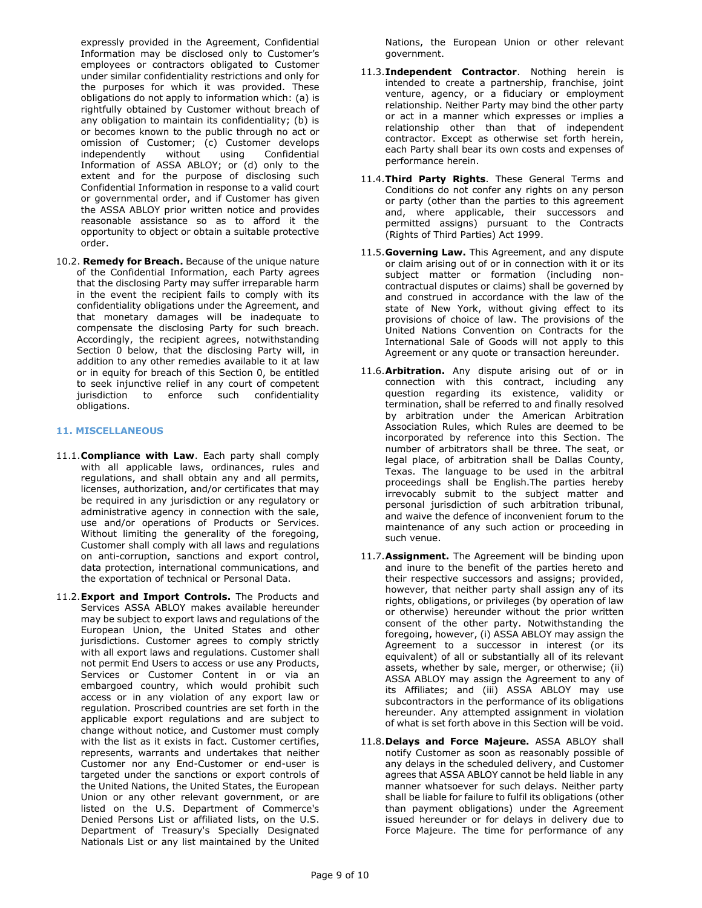expressly provided in the Agreement, Confidential Information may be disclosed only to Customer's employees or contractors obligated to Customer under similar confidentiality restrictions and only for the purposes for which it was provided. These obligations do not apply to information which: (a) is rightfully obtained by Customer without breach of any obligation to maintain its confidentiality; (b) is or becomes known to the public through no act or omission of Customer; (c) Customer develops independently without using Confidential Information of ASSA ABLOY; or (d) only to the extent and for the purpose of disclosing such Confidential Information in response to a valid court or governmental order, and if Customer has given the ASSA ABLOY prior written notice and provides reasonable assistance so as to afford it the opportunity to object or obtain a suitable protective order.

10.2. **Remedy for Breach.** Because of the unique nature of the Confidential Information, each Party agrees that the disclosing Party may suffer irreparable harm in the event the recipient fails to comply with its confidentiality obligations under the Agreement, and that monetary damages will be inadequate to compensate the disclosing Party for such breach. Accordingly, the recipient agrees, notwithstanding Section 0 below, that the disclosing Party will, in addition to any other remedies available to it at law or in equity for breach of this Section 0, be entitled to seek injunctive relief in any court of competent jurisdiction to enforce such confidentiality obligations.

# **11. MISCELLANEOUS**

- 11.1.**Compliance with Law**. Each party shall comply with all applicable laws, ordinances, rules and regulations, and shall obtain any and all permits, licenses, authorization, and/or certificates that may be required in any jurisdiction or any regulatory or administrative agency in connection with the sale, use and/or operations of Products or Services. Without limiting the generality of the foregoing, Customer shall comply with all laws and regulations on anti-corruption, sanctions and export control, data protection, international communications, and the exportation of technical or Personal Data.
- 11.2.**Export and Import Controls.** The Products and Services ASSA ABLOY makes available hereunder may be subject to export laws and regulations of the European Union, the United States and other jurisdictions. Customer agrees to comply strictly with all export laws and regulations. Customer shall not permit End Users to access or use any Products, Services or Customer Content in or via an embargoed country, which would prohibit such access or in any violation of any export law or regulation. Proscribed countries are set forth in the applicable export regulations and are subject to change without notice, and Customer must comply with the list as it exists in fact. Customer certifies, represents, warrants and undertakes that neither Customer nor any End-Customer or end-user is targeted under the sanctions or export controls of the United Nations, the United States, the European Union or any other relevant government, or are listed on the U.S. Department of Commerce's Denied Persons List or affiliated lists, on the U.S. Department of Treasury's Specially Designated Nationals List or any list maintained by the United

Nations, the European Union or other relevant government.

- 11.3.**Independent Contractor**. Nothing herein is intended to create a partnership, franchise, joint venture, agency, or a fiduciary or employment relationship. Neither Party may bind the other party or act in a manner which expresses or implies a relationship other than that of independent contractor. Except as otherwise set forth herein, each Party shall bear its own costs and expenses of performance herein.
- 11.4.**Third Party Rights**. These General Terms and Conditions do not confer any rights on any person or party (other than the parties to this agreement and, where applicable, their successors and permitted assigns) pursuant to the Contracts (Rights of Third Parties) Act 1999.
- 11.5.**Governing Law.** This Agreement, and any dispute or claim arising out of or in connection with it or its subject matter or formation (including noncontractual disputes or claims) shall be governed by and construed in accordance with the law of the state of New York, without giving effect to its provisions of choice of law. The provisions of the United Nations Convention on Contracts for the International Sale of Goods will not apply to this Agreement or any quote or transaction hereunder.
- 11.6.**Arbitration.** Any dispute arising out of or in connection with this contract, including any question regarding its existence, validity or termination, shall be referred to and finally resolved by arbitration under the American Arbitration Association Rules, which Rules are deemed to be incorporated by reference into this Section. The number of arbitrators shall be three. The seat, or legal place, of arbitration shall be Dallas County, Texas. The language to be used in the arbitral proceedings shall be English.The parties hereby irrevocably submit to the subject matter and personal jurisdiction of such arbitration tribunal, and waive the defence of inconvenient forum to the maintenance of any such action or proceeding in such venue.
- 11.7.**Assignment.** The Agreement will be binding upon and inure to the benefit of the parties hereto and their respective successors and assigns; provided, however, that neither party shall assign any of its rights, obligations, or privileges (by operation of law or otherwise) hereunder without the prior written consent of the other party. Notwithstanding the foregoing, however, (i) ASSA ABLOY may assign the Agreement to a successor in interest (or its equivalent) of all or substantially all of its relevant assets, whether by sale, merger, or otherwise; (ii) ASSA ABLOY may assign the Agreement to any of its Affiliates; and (iii) ASSA ABLOY may use subcontractors in the performance of its obligations hereunder. Any attempted assignment in violation of what is set forth above in this Section will be void.
- 11.8.**Delays and Force Majeure.** ASSA ABLOY shall notify Customer as soon as reasonably possible of any delays in the scheduled delivery, and Customer agrees that ASSA ABLOY cannot be held liable in any manner whatsoever for such delays. Neither party shall be liable for failure to fulfil its obligations (other than payment obligations) under the Agreement issued hereunder or for delays in delivery due to Force Majeure. The time for performance of any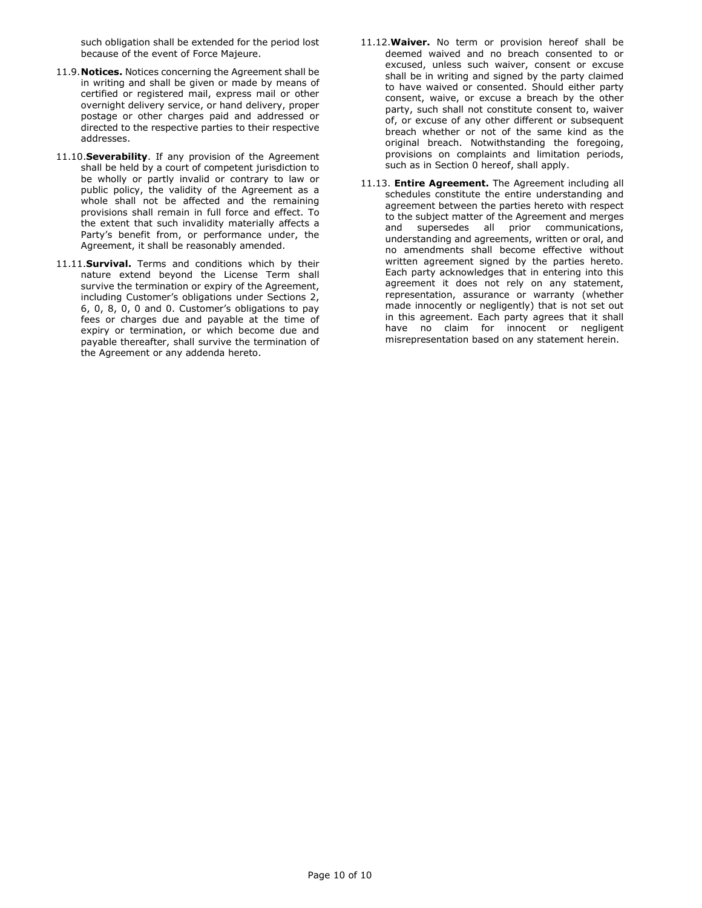such obligation shall be extended for the period lost because of the event of Force Majeure.

- 11.9.**Notices.** Notices concerning the Agreement shall be in writing and shall be given or made by means of certified or registered mail, express mail or other overnight delivery service, or hand delivery, proper postage or other charges paid and addressed or directed to the respective parties to their respective addresses.
- 11.10.**Severability**. If any provision of the Agreement shall be held by a court of competent jurisdiction to be wholly or partly invalid or contrary to law or public policy, the validity of the Agreement as a whole shall not be affected and the remaining provisions shall remain in full force and effect. To the extent that such invalidity materially affects a Party's benefit from, or performance under, the Agreement, it shall be reasonably amended.
- 11.11.**Survival.** Terms and conditions which by their nature extend beyond the License Term shall survive the termination or expiry of the Agreement, including Customer's obligations under Sections 2, 6, 0, 8, 0, 0 and 0. Customer's obligations to pay fees or charges due and payable at the time of expiry or termination, or which become due and payable thereafter, shall survive the termination of the Agreement or any addenda hereto.
- 11.12.**Waiver.** No term or provision hereof shall be deemed waived and no breach consented to or excused, unless such waiver, consent or excuse shall be in writing and signed by the party claimed to have waived or consented. Should either party consent, waive, or excuse a breach by the other party, such shall not constitute consent to, waiver of, or excuse of any other different or subsequent breach whether or not of the same kind as the original breach. Notwithstanding the foregoing, provisions on complaints and limitation periods, such as in Section 0 hereof, shall apply.
- 11.13. **Entire Agreement.** The Agreement including all schedules constitute the entire understanding and agreement between the parties hereto with respect to the subject matter of the Agreement and merges and supersedes all prior communications, understanding and agreements, written or oral, and no amendments shall become effective without written agreement signed by the parties hereto. Each party acknowledges that in entering into this agreement it does not rely on any statement, representation, assurance or warranty (whether made innocently or negligently) that is not set out in this agreement. Each party agrees that it shall have no claim for innocent or negligent misrepresentation based on any statement herein.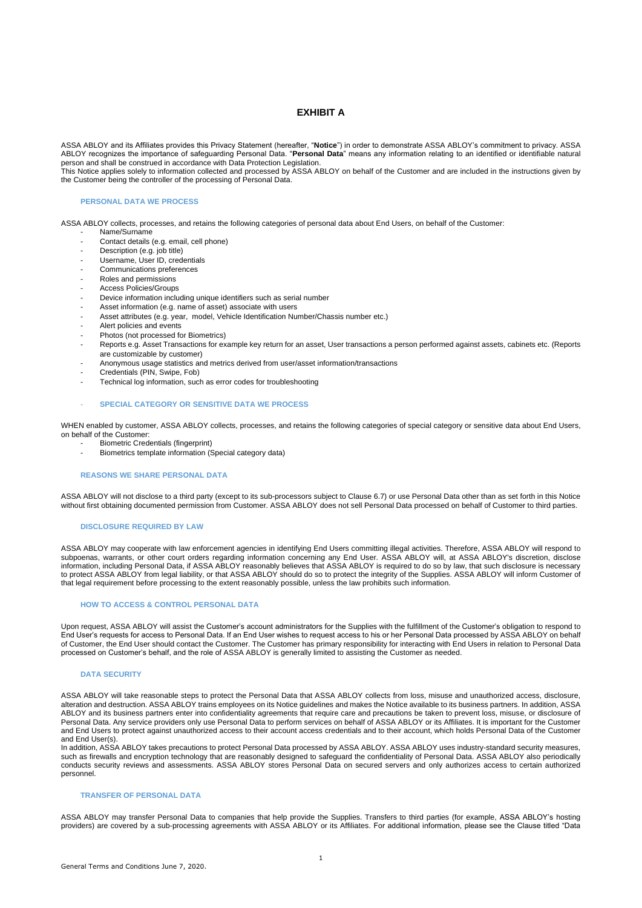# **EXHIBIT A**

ASSA ABLOY and its Affiliates provides this Privacy Statement (hereafter, "**Notice**") in order to demonstrate ASSA ABLOY's commitment to privacy. ASSA ABLOY recognizes the importance of safeguarding Personal Data. "**Personal Data**" means any information relating to an identified or identifiable natural person and shall be construed in accordance with Data Protection Legislation.

This Notice applies solely to information collected and processed by ASSA ABLOY on behalf of the Customer and are included in the instructions given by the Customer being the controller of the processing of Personal Data.

### **PERSONAL DATA WE PROCESS**

ASSA ABLOY collects, processes, and retains the following categories of personal data about End Users, on behalf of the Customer:

- Name/Surname
	- Contact details (e.g. email, cell phone)
	- Description (e.g. job title)
	- Username, User ID, credentials
	- Communications preferences
	- Roles and permissions
	- Access Policies/Groups
	- Device information including unique identifiers such as serial number
	- Asset information (e.g. name of asset) associate with users
	- Asset attributes (e.g. year, model, Vehicle Identification Number/Chassis number etc.)
	- Alert policies and events
	- Photos (not processed for Biometrics)
	- Reports e.g. Asset Transactions for example key return for an asset, User transactions a person performed against assets, cabinets etc. (Reports are customizable by customer)
	- Anonymous usage statistics and metrics derived from user/asset information/transactions
	- Credentials (PIN, Swipe, Fob)
	- Technical log information, such as error codes for troubleshooting

#### - **SPECIAL CATEGORY OR SENSITIVE DATA WE PROCESS**

WHEN enabled by customer, ASSA ABLOY collects, processes, and retains the following categories of special category or sensitive data about End Users, on behalf of the Customer:

- Biometric Credentials (fingerprint)
- Biometrics template information (Special category data)

#### **REASONS WE SHARE PERSONAL DATA**

ASSA ABLOY will not disclose to a third party (except to its sub-processors subject to Clause 6.7) or use Personal Data other than as set forth in this Notice without first obtaining documented permission from Customer. ASSA ABLOY does not sell Personal Data processed on behalf of Customer to third parties.

#### **DISCLOSURE REQUIRED BY LAW**

ASSA ABLOY may cooperate with law enforcement agencies in identifying End Users committing illegal activities. Therefore, ASSA ABLOY will respond to subpoenas, warrants, or other court orders regarding information concerning any End User. ASSA ABLOY will, at ASSA ABLOY's discretion, disclose information, including Personal Data, if ASSA ABLOY reasonably believes that ASSA ABLOY is required to do so by law, that such disclosure is necessary to protect ASSA ABLOY from legal liability, or that ASSA ABLOY should do so to protect the integrity of the Supplies. ASSA ABLOY will inform Customer of that legal requirement before processing to the extent reasonably possible, unless the law prohibits such information.

#### **HOW TO ACCESS & CONTROL PERSONAL DATA**

Upon request, ASSA ABLOY will assist the Customer's account administrators for the Supplies with the fulfillment of the Customer's obligation to respond to End User's requests for access to Personal Data. If an End User wishes to request access to his or her Personal Data processed by ASSA ABLOY on behalf of Customer, the End User should contact the Customer. The Customer has primary responsibility for interacting with End Users in relation to Personal Data processed on Customer's behalf, and the role of ASSA ABLOY is generally limited to assisting the Customer as needed.

#### **DATA SECURITY**

ASSA ABLOY will take reasonable steps to protect the Personal Data that ASSA ABLOY collects from loss, misuse and unauthorized access, disclosure, alteration and destruction. ASSA ABLOY trains employees on its Notice guidelines and makes the Notice available to its business partners. In addition, ASSA ABLOY and its business partners enter into confidentiality agreements that require care and precautions be taken to prevent loss, misuse, or disclosure of Personal Data. Any service providers only use Personal Data to perform services on behalf of ASSA ABLOY or its Affiliates. It is important for the Customer and End Users to protect against unauthorized access to their account access credentials and to their account, which holds Personal Data of the Customer and End User(s).

In addition, ASSA ABLOY takes precautions to protect Personal Data processed by ASSA ABLOY. ASSA ABLOY uses industry-standard security measures, such as firewalls and encryption technology that are reasonably designed to safeguard the confidentiality of Personal Data. ASSA ABLOY also periodically conducts security reviews and assessments. ASSA ABLOY stores Personal Data on secured servers and only authorizes access to certain authorized personnel.

#### **TRANSFER OF PERSONAL DATA**

ASSA ABLOY may transfer Personal Data to companies that help provide the Supplies. Transfers to third parties (for example, ASSA ABLOY's hosting providers) are covered by a sub-processing agreements with ASSA ABLOY or its Affiliates. For additional information, please see the Clause titled "Data